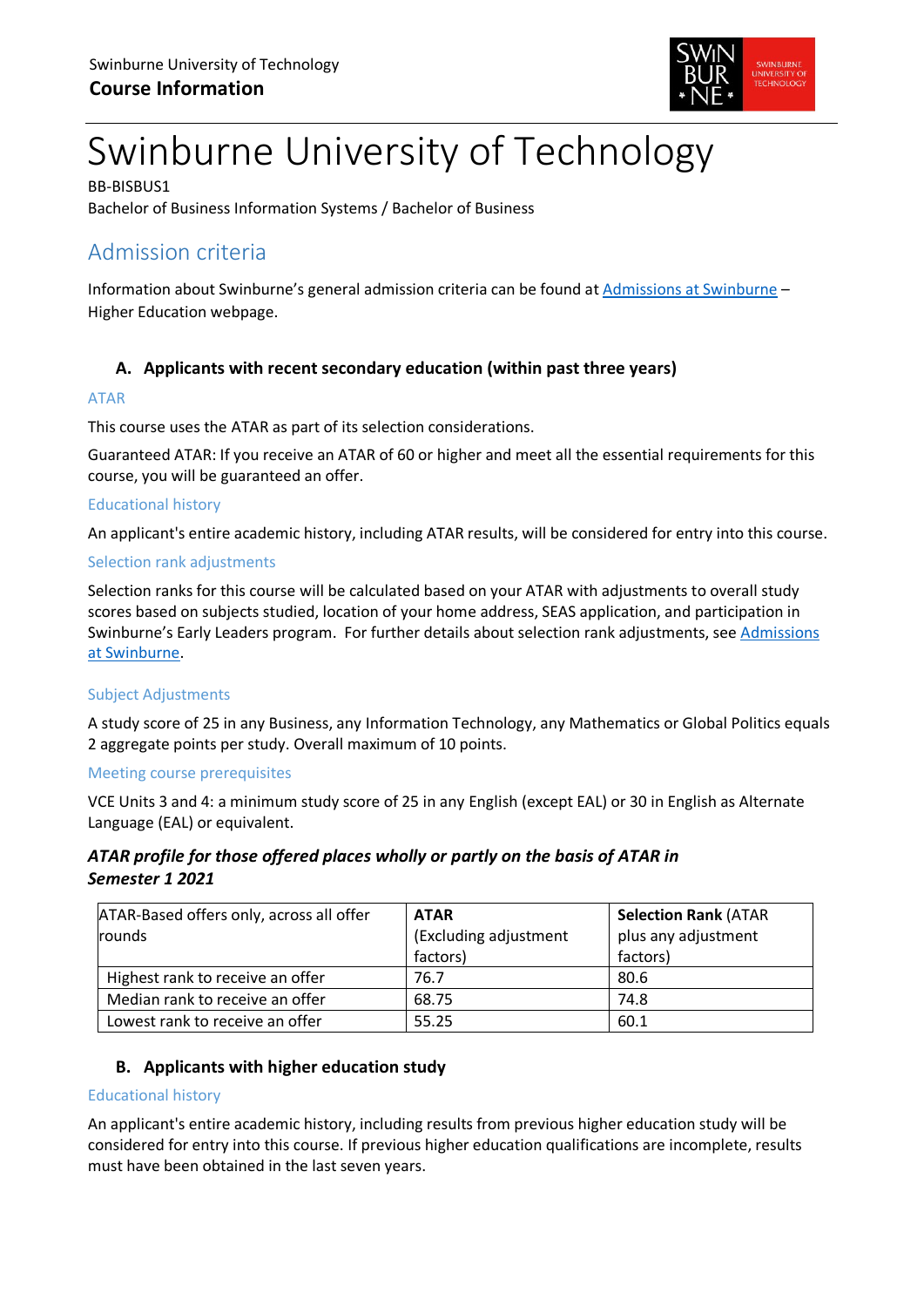

# Swinburne University of Technology

BB-BISBUS1 Bachelor of Business Information Systems / Bachelor of Business

## Admission criteria

Information about Swinburne's general admission criteria can be found at [Admissions at Swinburne](https://www.swinburne.edu.au/study/degrees/apply/admissions/) – Higher Education webpage.

## **A. Applicants with recent secondary education (within past three years)**

## ATAR

This course uses the ATAR as part of its selection considerations.

Guaranteed ATAR: If you receive an ATAR of 60 or higher and meet all the essential requirements for this course, you will be guaranteed an offer.

## Educational history

An applicant's entire academic history, including ATAR results, will be considered for entry into this course.

## Selection rank adjustments

Selection ranks for this course will be calculated based on your ATAR with adjustments to overall study scores based on subjects studied, location of your home address, SEAS application, and participation in Swinburne's Early Leaders program. For further details about selection rank adjustments, see [Admissions](https://www.swinburne.edu.au/study/degrees/apply/admissions/)  [at Swinburne.](https://www.swinburne.edu.au/study/degrees/apply/admissions/)

## Subject Adjustments

A study score of 25 in any Business, any Information Technology, any Mathematics or Global Politics equals 2 aggregate points per study. Overall maximum of 10 points.

#### Meeting course prerequisites

VCE Units 3 and 4: a minimum study score of 25 in any English (except EAL) or 30 in English as Alternate Language (EAL) or equivalent.

## *ATAR profile for those offered places wholly or partly on the basis of ATAR in Semester 1 2021*

| ATAR-Based offers only, across all offer | <b>ATAR</b>           | <b>Selection Rank (ATAR</b> |  |
|------------------------------------------|-----------------------|-----------------------------|--|
| rounds                                   | (Excluding adjustment | plus any adjustment         |  |
|                                          | factors)              | factors)                    |  |
| Highest rank to receive an offer         | 76.7                  | 80.6                        |  |
| Median rank to receive an offer          | 68.75                 | 74.8                        |  |
| Lowest rank to receive an offer          | 55.25                 | 60.1                        |  |

## **B. Applicants with higher education study**

#### Educational history

An applicant's entire academic history, including results from previous higher education study will be considered for entry into this course. If previous higher education qualifications are incomplete, results must have been obtained in the last seven years.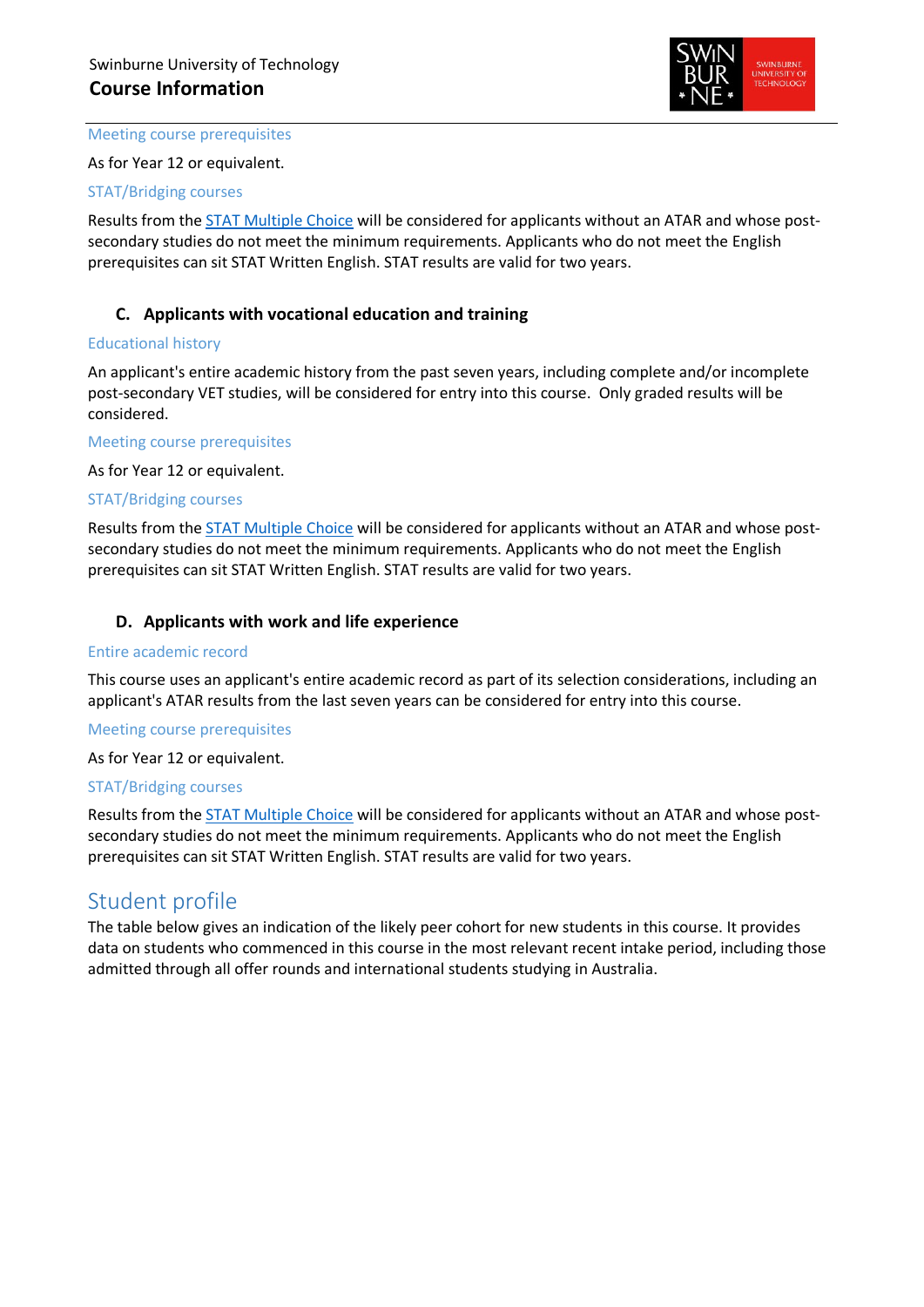

#### Meeting course prerequisites

As for Year 12 or equivalent.

#### STAT/Bridging courses

Results from the **STAT Multiple Choice** will be considered for applicants without an ATAR and whose postsecondary studies do not meet the minimum requirements. Applicants who do not meet the English prerequisites can sit STAT Written English. STAT results are valid for two years.

## **C. Applicants with vocational education and training**

#### Educational history

An applicant's entire academic history from the past seven years, including complete and/or incomplete post-secondary VET studies, will be considered for entry into this course. Only graded results will be considered.

Meeting course prerequisites

As for Year 12 or equivalent.

#### STAT/Bridging courses

Results from the [STAT Multiple Choice](https://www.swinburne.edu.au/study/degrees/apply/admissions-test/) will be considered for applicants without an ATAR and whose postsecondary studies do not meet the minimum requirements. Applicants who do not meet the English prerequisites can sit STAT Written English. STAT results are valid for two years.

## **D. Applicants with work and life experience**

#### Entire academic record

This course uses an applicant's entire academic record as part of its selection considerations, including an applicant's ATAR results from the last seven years can be considered for entry into this course.

#### Meeting course prerequisites

As for Year 12 or equivalent.

#### STAT/Bridging courses

Results from the [STAT Multiple Choice](https://www.swinburne.edu.au/study/degrees/apply/admissions-test/) will be considered for applicants without an ATAR and whose postsecondary studies do not meet the minimum requirements. Applicants who do not meet the English prerequisites can sit STAT Written English. STAT results are valid for two years.

## Student profile

The table below gives an indication of the likely peer cohort for new students in this course. It provides data on students who commenced in this course in the most relevant recent intake period, including those admitted through all offer rounds and international students studying in Australia.